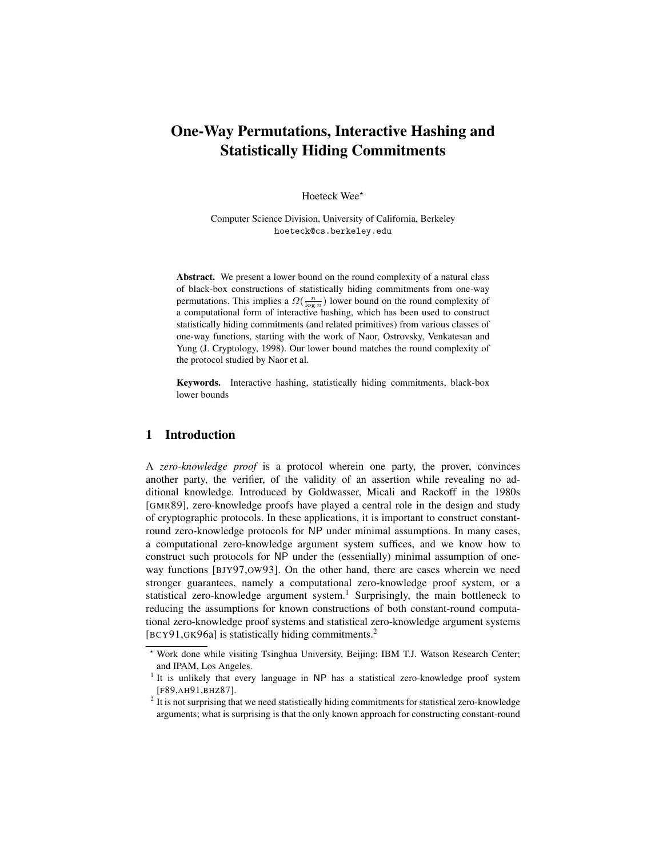# One-Way Permutations, Interactive Hashing and Statistically Hiding Commitments

Hoeteck Wee\*

Computer Science Division, University of California, Berkeley hoeteck@cs.berkeley.edu

Abstract. We present a lower bound on the round complexity of a natural class of black-box constructions of statistically hiding commitments from one-way permutations. This implies a  $\Omega(\frac{n}{\log n})$  lower bound on the round complexity of a computational form of interactive hashing, which has been used to construct statistically hiding commitments (and related primitives) from various classes of one-way functions, starting with the work of Naor, Ostrovsky, Venkatesan and Yung (J. Cryptology, 1998). Our lower bound matches the round complexity of the protocol studied by Naor et al.

Keywords. Interactive hashing, statistically hiding commitments, black-box lower bounds

# 1 Introduction

A *zero-knowledge proof* is a protocol wherein one party, the prover, convinces another party, the verifier, of the validity of an assertion while revealing no additional knowledge. Introduced by Goldwasser, Micali and Rackoff in the 1980s [GMR89], zero-knowledge proofs have played a central role in the design and study of cryptographic protocols. In these applications, it is important to construct constantround zero-knowledge protocols for NP under minimal assumptions. In many cases, a computational zero-knowledge argument system suffices, and we know how to construct such protocols for NP under the (essentially) minimal assumption of oneway functions [BJY97,OW93]. On the other hand, there are cases wherein we need stronger guarantees, namely a computational zero-knowledge proof system, or a statistical zero-knowledge argument system.<sup>1</sup> Surprisingly, the main bottleneck to reducing the assumptions for known constructions of both constant-round computational zero-knowledge proof systems and statistical zero-knowledge argument systems [BCY91,GK96a] is statistically hiding commitments.<sup>2</sup>

<sup>?</sup> Work done while visiting Tsinghua University, Beijing; IBM T.J. Watson Research Center; and IPAM, Los Angeles.

<sup>&</sup>lt;sup>1</sup> It is unlikely that every language in NP has a statistical zero-knowledge proof system [F89,AH91,BHZ87].

 $2$  It is not surprising that we need statistically hiding commitments for statistical zero-knowledge arguments; what is surprising is that the only known approach for constructing constant-round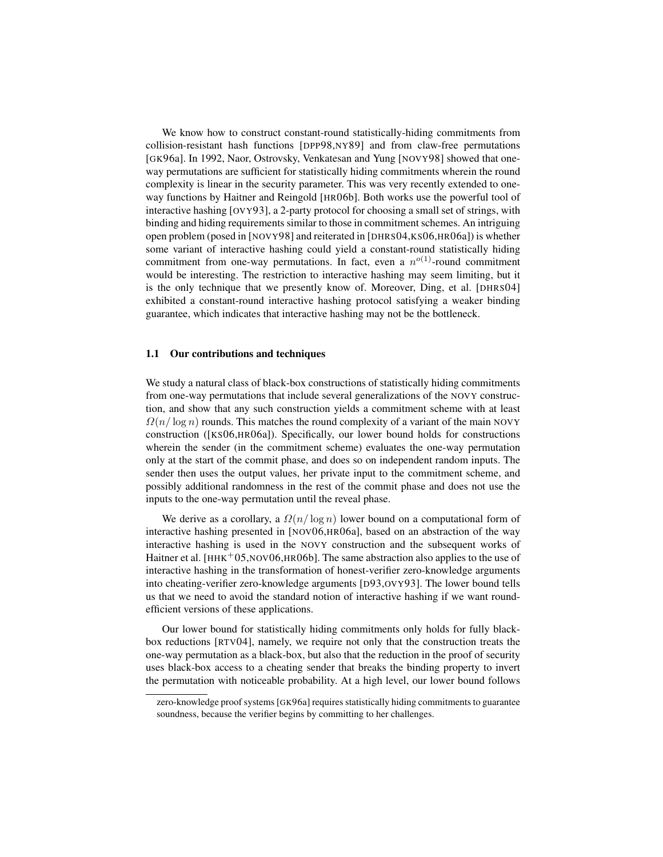We know how to construct constant-round statistically-hiding commitments from collision-resistant hash functions [DPP98,NY89] and from claw-free permutations [GK96a]. In 1992, Naor, Ostrovsky, Venkatesan and Yung [NOVY98] showed that oneway permutations are sufficient for statistically hiding commitments wherein the round complexity is linear in the security parameter. This was very recently extended to oneway functions by Haitner and Reingold [HR06b]. Both works use the powerful tool of interactive hashing [OVY93], a 2-party protocol for choosing a small set of strings, with binding and hiding requirements similar to those in commitment schemes. An intriguing open problem (posed in [NOVY98] and reiterated in [DHRS04,KS06,HR06a]) is whether some variant of interactive hashing could yield a constant-round statistically hiding commitment from one-way permutations. In fact, even a  $n^{o(1)}$ -round commitment would be interesting. The restriction to interactive hashing may seem limiting, but it is the only technique that we presently know of. Moreover, Ding, et al. [DHRS04] exhibited a constant-round interactive hashing protocol satisfying a weaker binding guarantee, which indicates that interactive hashing may not be the bottleneck.

#### 1.1 Our contributions and techniques

We study a natural class of black-box constructions of statistically hiding commitments from one-way permutations that include several generalizations of the NOVY construction, and show that any such construction yields a commitment scheme with at least  $\Omega(n/\log n)$  rounds. This matches the round complexity of a variant of the main NOVY construction ([KS06,HR06a]). Specifically, our lower bound holds for constructions wherein the sender (in the commitment scheme) evaluates the one-way permutation only at the start of the commit phase, and does so on independent random inputs. The sender then uses the output values, her private input to the commitment scheme, and possibly additional randomness in the rest of the commit phase and does not use the inputs to the one-way permutation until the reveal phase.

We derive as a corollary, a  $\Omega(n/\log n)$  lower bound on a computational form of interactive hashing presented in [NOV06,HR06a], based on an abstraction of the way interactive hashing is used in the NOVY construction and the subsequent works of Haitner et al.  $[HHK<sup>+</sup>05,NOV06,HR06b]$ . The same abstraction also applies to the use of interactive hashing in the transformation of honest-verifier zero-knowledge arguments into cheating-verifier zero-knowledge arguments [D93,OVY93]. The lower bound tells us that we need to avoid the standard notion of interactive hashing if we want roundefficient versions of these applications.

Our lower bound for statistically hiding commitments only holds for fully blackbox reductions [RTV04], namely, we require not only that the construction treats the one-way permutation as a black-box, but also that the reduction in the proof of security uses black-box access to a cheating sender that breaks the binding property to invert the permutation with noticeable probability. At a high level, our lower bound follows

zero-knowledge proof systems [GK96a] requires statistically hiding commitments to guarantee soundness, because the verifier begins by committing to her challenges.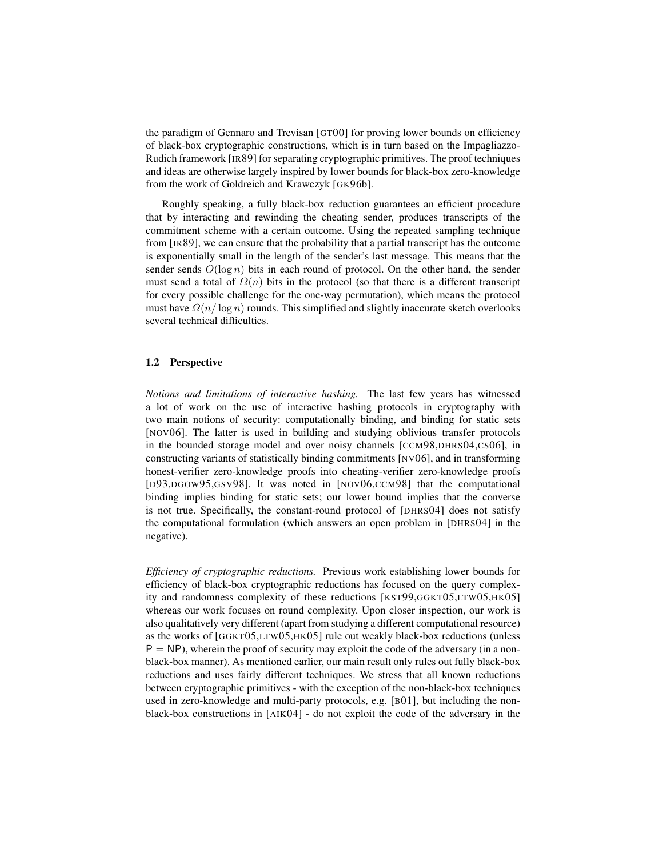the paradigm of Gennaro and Trevisan [GT00] for proving lower bounds on efficiency of black-box cryptographic constructions, which is in turn based on the Impagliazzo-Rudich framework [IR89] for separating cryptographic primitives. The proof techniques and ideas are otherwise largely inspired by lower bounds for black-box zero-knowledge from the work of Goldreich and Krawczyk [GK96b].

Roughly speaking, a fully black-box reduction guarantees an efficient procedure that by interacting and rewinding the cheating sender, produces transcripts of the commitment scheme with a certain outcome. Using the repeated sampling technique from [IR89], we can ensure that the probability that a partial transcript has the outcome is exponentially small in the length of the sender's last message. This means that the sender sends  $O(\log n)$  bits in each round of protocol. On the other hand, the sender must send a total of  $\Omega(n)$  bits in the protocol (so that there is a different transcript for every possible challenge for the one-way permutation), which means the protocol must have  $\Omega(n/\log n)$  rounds. This simplified and slightly inaccurate sketch overlooks several technical difficulties.

## 1.2 Perspective

*Notions and limitations of interactive hashing.* The last few years has witnessed a lot of work on the use of interactive hashing protocols in cryptography with two main notions of security: computationally binding, and binding for static sets [NOV06]. The latter is used in building and studying oblivious transfer protocols in the bounded storage model and over noisy channels [CCM98,DHRS04,CS06], in constructing variants of statistically binding commitments [NV06], and in transforming honest-verifier zero-knowledge proofs into cheating-verifier zero-knowledge proofs [D93,DGOW95,GSV98]. It was noted in [NOV06,CCM98] that the computational binding implies binding for static sets; our lower bound implies that the converse is not true. Specifically, the constant-round protocol of [DHRS04] does not satisfy the computational formulation (which answers an open problem in [DHRS04] in the negative).

*Efficiency of cryptographic reductions.* Previous work establishing lower bounds for efficiency of black-box cryptographic reductions has focused on the query complexity and randomness complexity of these reductions [KST99,GGKT05,LTW05,HK05] whereas our work focuses on round complexity. Upon closer inspection, our work is also qualitatively very different (apart from studying a different computational resource) as the works of [GGKT05,LTW05,HK05] rule out weakly black-box reductions (unless  $P = NP$ ), wherein the proof of security may exploit the code of the adversary (in a nonblack-box manner). As mentioned earlier, our main result only rules out fully black-box reductions and uses fairly different techniques. We stress that all known reductions between cryptographic primitives - with the exception of the non-black-box techniques used in zero-knowledge and multi-party protocols, e.g. [B01], but including the nonblack-box constructions in [AIK04] - do not exploit the code of the adversary in the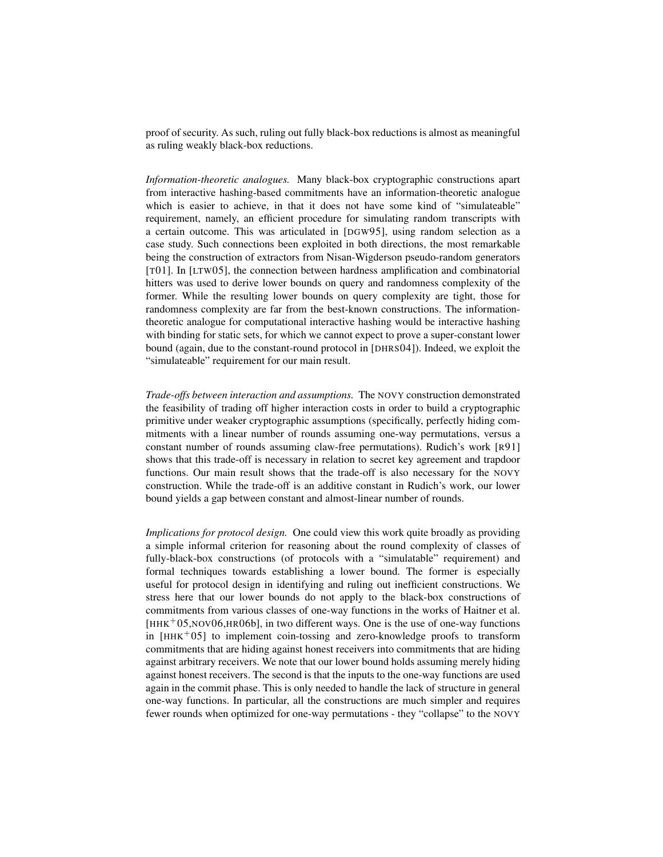proof of security. As such, ruling out fully black-box reductions is almost as meaningful as ruling weakly black-box reductions.

*Information-theoretic analogues.* Many black-box cryptographic constructions apart from interactive hashing-based commitments have an information-theoretic analogue which is easier to achieve, in that it does not have some kind of "simulateable" requirement, namely, an efficient procedure for simulating random transcripts with a certain outcome. This was articulated in [DGW95], using random selection as a case study. Such connections been exploited in both directions, the most remarkable being the construction of extractors from Nisan-Wigderson pseudo-random generators [T01]. In [LTW05], the connection between hardness amplification and combinatorial hitters was used to derive lower bounds on query and randomness complexity of the former. While the resulting lower bounds on query complexity are tight, those for randomness complexity are far from the best-known constructions. The informationtheoretic analogue for computational interactive hashing would be interactive hashing with binding for static sets, for which we cannot expect to prove a super-constant lower bound (again, due to the constant-round protocol in [DHRS04]). Indeed, we exploit the "simulateable" requirement for our main result.

*Trade-offs between interaction and assumptions.* The NOVY construction demonstrated the feasibility of trading off higher interaction costs in order to build a cryptographic primitive under weaker cryptographic assumptions (specifically, perfectly hiding commitments with a linear number of rounds assuming one-way permutations, versus a constant number of rounds assuming claw-free permutations). Rudich's work [R91] shows that this trade-off is necessary in relation to secret key agreement and trapdoor functions. Our main result shows that the trade-off is also necessary for the NOVY construction. While the trade-off is an additive constant in Rudich's work, our lower bound yields a gap between constant and almost-linear number of rounds.

*Implications for protocol design.* One could view this work quite broadly as providing a simple informal criterion for reasoning about the round complexity of classes of fully-black-box constructions (of protocols with a "simulatable" requirement) and formal techniques towards establishing a lower bound. The former is especially useful for protocol design in identifying and ruling out inefficient constructions. We stress here that our lower bounds do not apply to the black-box constructions of commitments from various classes of one-way functions in the works of Haitner et al.  $[HHK<sup>+</sup>05,NOV06,HR06b]$ , in two different ways. One is the use of one-way functions in  $[HHK^+05]$  to implement coin-tossing and zero-knowledge proofs to transform commitments that are hiding against honest receivers into commitments that are hiding against arbitrary receivers. We note that our lower bound holds assuming merely hiding against honest receivers. The second is that the inputs to the one-way functions are used again in the commit phase. This is only needed to handle the lack of structure in general one-way functions. In particular, all the constructions are much simpler and requires fewer rounds when optimized for one-way permutations - they "collapse" to the NOVY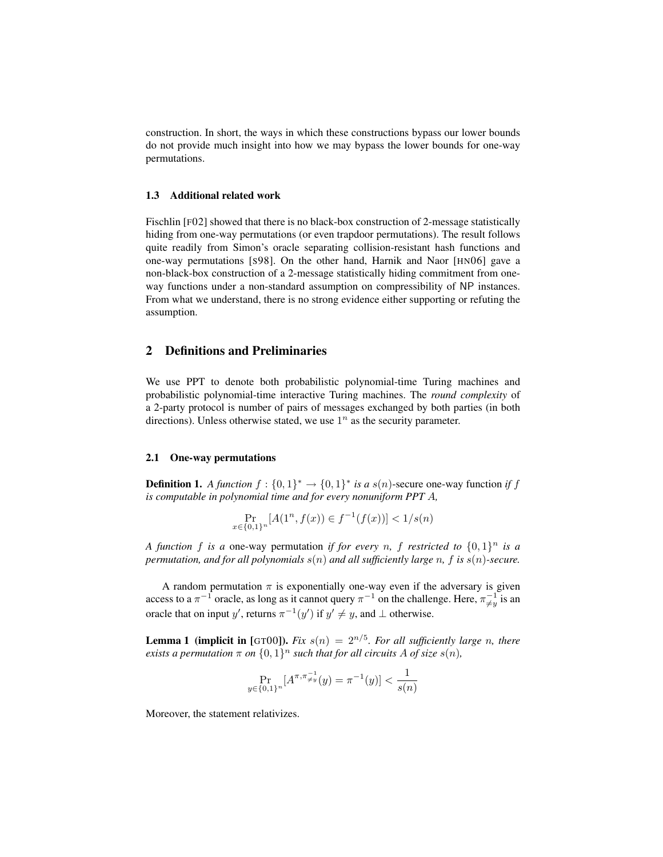construction. In short, the ways in which these constructions bypass our lower bounds do not provide much insight into how we may bypass the lower bounds for one-way permutations.

## 1.3 Additional related work

Fischlin [F02] showed that there is no black-box construction of 2-message statistically hiding from one-way permutations (or even trapdoor permutations). The result follows quite readily from Simon's oracle separating collision-resistant hash functions and one-way permutations [S98]. On the other hand, Harnik and Naor [HN06] gave a non-black-box construction of a 2-message statistically hiding commitment from oneway functions under a non-standard assumption on compressibility of NP instances. From what we understand, there is no strong evidence either supporting or refuting the assumption.

# 2 Definitions and Preliminaries

We use PPT to denote both probabilistic polynomial-time Turing machines and probabilistic polynomial-time interactive Turing machines. The *round complexity* of a 2-party protocol is number of pairs of messages exchanged by both parties (in both directions). Unless otherwise stated, we use  $1^n$  as the security parameter.

## 2.1 One-way permutations

**Definition 1.** A function  $f : \{0,1\}^* \to \{0,1\}^*$  is a  $s(n)$ -secure one-way function if f *is computable in polynomial time and for every nonuniform PPT* A*,*

$$
\Pr_{x \in \{0,1\}^n} [A(1^n, f(x)) \in f^{-1}(f(x))] < 1/s(n)
$$

*A function* f *is a* one-way permutation *if for every n,* f *restricted to*  $\{0,1\}^n$  *is a permutation, and for all polynomials* s(n) *and all sufficiently large* n*,* f *is* s(n)*-secure.*

A random permutation  $\pi$  is exponentially one-way even if the adversary is given access to a  $\pi^{-1}$  oracle, as long as it cannot query  $\pi^{-1}$  on the challenge. Here,  $\pi^{-1}_{\neq y}$  is an oracle that on input y', returns  $\pi^{-1}(y')$  if  $y' \neq y$ , and  $\perp$  otherwise.

**Lemma 1 (implicit in** [GT00]). *Fix*  $s(n) = 2^{n/5}$ *. For all sufficiently large n, there exists a permutation*  $\pi$  *on*  $\{0,1\}^n$  *such that for all circuits* A *of size*  $s(n)$ *,* 

$$
\Pr_{y \in \{0,1\}^n} [A^{\pi, \pi_{\neq y}^{-1}}(y) = \pi^{-1}(y)] < \frac{1}{s(n)}
$$

Moreover, the statement relativizes.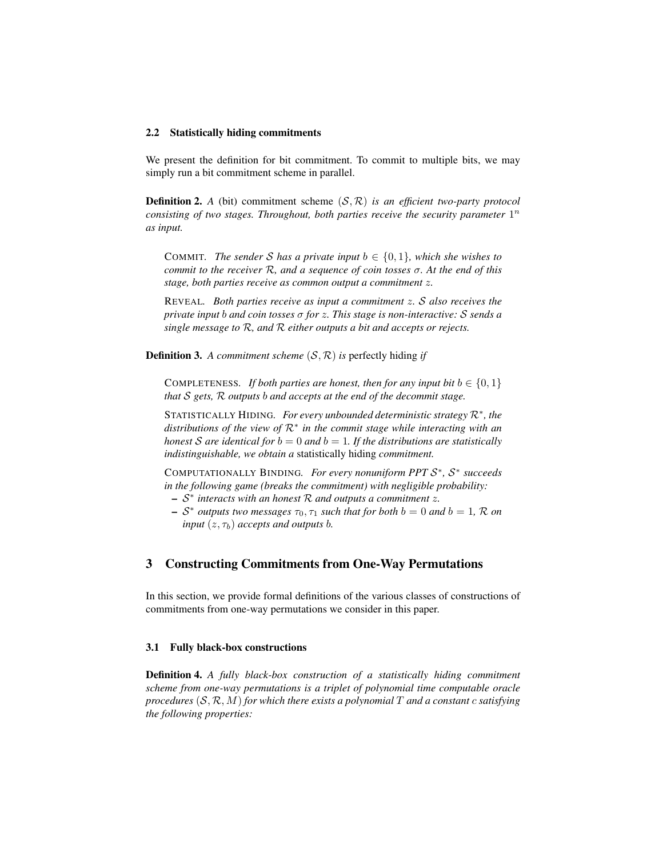#### 2.2 Statistically hiding commitments

We present the definition for bit commitment. To commit to multiple bits, we may simply run a bit commitment scheme in parallel.

**Definition 2.** *A* (bit) commitment scheme  $(S, \mathcal{R})$  *is an efficient two-party protocol consisting of two stages. Throughout, both parties receive the security parameter*  $1^n$ *as input.*

COMMIT. The sender S has a private input  $b \in \{0, 1\}$ , which she wishes to *commit to the receiver* R*, and a sequence of coin tosses* σ*. At the end of this stage, both parties receive as common output a commitment* z*.*

REVEAL*. Both parties receive as input a commitment* z*.* S *also receives the private input* b *and coin tosses* σ *for* z*. This stage is non-interactive:* S *sends a single message to* R*, and* R *either outputs a bit and accepts or rejects.*

**Definition 3.** A commitment scheme  $(S, \mathcal{R})$  is perfectly hiding *if* 

COMPLETENESS. If both parties are honest, then for any input bit  $b \in \{0, 1\}$ *that* S *gets,* R *outputs* b *and accepts at the end of the decommit stage.*

STATISTICALLY HIDING*. For every unbounded deterministic strategy* R<sup>∗</sup> *, the distributions of the view of* R<sup>∗</sup> *in the commit stage while interacting with an honest* S are identical for  $b = 0$  and  $b = 1$ . If the distributions are statistically *indistinguishable, we obtain a* statistically hiding *commitment.*

COMPUTATIONALLY BINDING. For every nonuniform PPT  $S^*$ ,  $S^*$  succeeds *in the following game (breaks the commitment) with negligible probability:*

- S ∗ *interacts with an honest* R *and outputs a commitment* z*.*
- $\sim S^*$  *outputs two messages*  $\tau_0$ ,  $\tau_1$  *such that for both*  $b = 0$  *and*  $b = 1$ , R *on input*  $(z, \tau_b)$  *accepts and outputs b.*

## 3 Constructing Commitments from One-Way Permutations

In this section, we provide formal definitions of the various classes of constructions of commitments from one-way permutations we consider in this paper.

#### 3.1 Fully black-box constructions

Definition 4. *A fully black-box construction of a statistically hiding commitment scheme from one-way permutations is a triplet of polynomial time computable oracle procedures* (S, R, M) *for which there exists a polynomial* T *and a constant* c *satisfying the following properties:*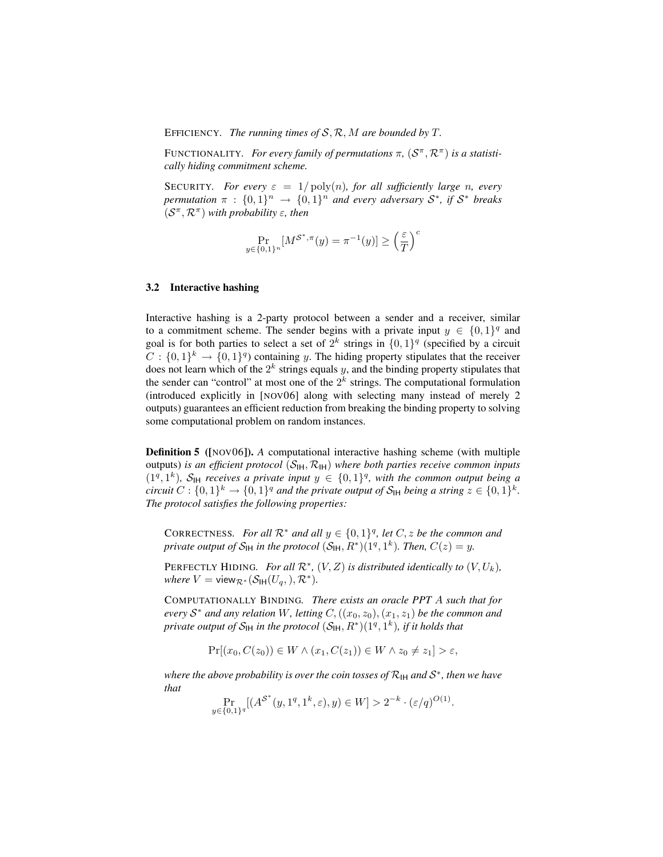EFFICIENCY*. The running times of* S, R, M *are bounded by* T*.*

FUNCTIONALITY. For every family of permutations  $\pi$ ,  $(S^{\pi}, \mathcal{R}^{\pi})$  is a statisti*cally hiding commitment scheme.*

**SECURITY***. For every*  $\varepsilon = 1/\text{poly}(n)$ *, for all sufficiently large n, every permutation*  $\pi$  :  $\{0,1\}^n$   $\rightarrow$   $\{0,1\}^n$  *and every adversary*  $S^*$ , *if*  $S^*$  *breaks*  $(S^{\pi}, \mathcal{R}^{\pi})$  with probability  $\varepsilon$ , then

$$
\Pr_{y \in \{0,1\}^n} [M^{\mathcal{S}^*, \pi}(y) = \pi^{-1}(y)] \ge \left(\frac{\varepsilon}{T}\right)^c
$$

#### 3.2 Interactive hashing

Interactive hashing is a 2-party protocol between a sender and a receiver, similar to a commitment scheme. The sender begins with a private input  $y \in \{0,1\}^q$  and goal is for both parties to select a set of  $2^k$  strings in  $\{0,1\}^q$  (specified by a circuit  $C: \{0,1\}^k \to \{0,1\}^q$  containing y. The hiding property stipulates that the receiver does not learn which of the  $2^k$  strings equals y, and the binding property stipulates that the sender can "control" at most one of the  $2^k$  strings. The computational formulation (introduced explicitly in [NOV06] along with selecting many instead of merely 2 outputs) guarantees an efficient reduction from breaking the binding property to solving some computational problem on random instances.

Definition 5 ([NOV06]). *A* computational interactive hashing scheme (with multiple outputs) *is an efficient protocol*  $(S_H, \mathcal{R}_H)$  *where both parties receive common inputs*  $(1^q, 1^k)$ ,  $S_H$  *receives a private input*  $y \in \{0, 1\}^q$ , with the common output being a *circuit*  $C: \{0,1\}^k \to \{0,1\}^q$  and the private output of  $S_H$  being a string  $z \in \{0,1\}^k$ . *The protocol satisfies the following properties:*

CORRECTNESS. For all  $\mathcal{R}^*$  and all  $y \in \{0,1\}^q$ , let  $C, z$  be the common and *private output of*  $S_H$  *in the protocol*  $(S_H, R^*)(1^q, 1^k)$ *. Then,*  $C(z) = y$ *.* 

PERFECTLY HIDING. For all  $\mathcal{R}^*$ ,  $(V, Z)$  is distributed identically to  $(V, U_k)$ , *where*  $V = \text{view}_{\mathcal{R}^*}(\mathcal{S}_{\text{IH}}(U_q,), \mathcal{R}^*).$ 

COMPUTATIONALLY BINDING*. There exists an oracle PPT* A *such that for*  $e$ *very*  $S^*$  *and any relation* W, letting  $C$ ,  $((x_0, z_0), (x_1, z_1)$  *be the common and*  $p$ rivate output of  $\mathcal{S}_\mathsf{IH}$  in the protocol  $(\mathcal{S}_\mathsf{IH}, R^*)(1^q, 1^k)$ , if it holds that

$$
\Pr[(x_0, C(z_0)) \in W \land (x_1, C(z_1)) \in W \land z_0 \neq z_1] > \varepsilon,
$$

 $\vec{v}$  where the above probability is over the coin tosses of R<sub>IH</sub> and S<sup>∗</sup>, then we have *that*

$$
\Pr_{y \in \{0,1\}^q} [(A^{\mathcal{S}^*}(y,1^q,1^k,\varepsilon),y) \in W] > 2^{-k} \cdot (\varepsilon/q)^{O(1)}.
$$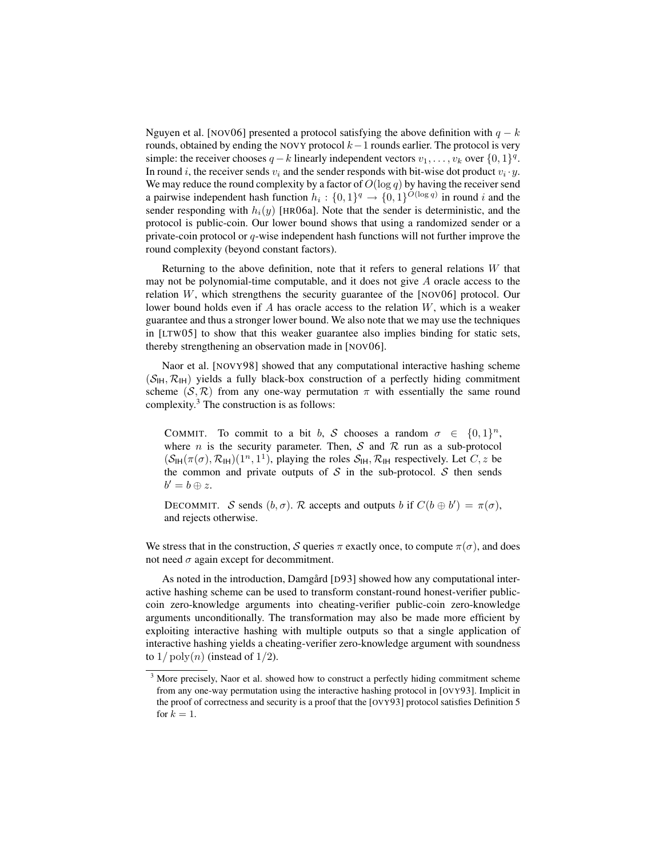Nguyen et al. [NOV06] presented a protocol satisfying the above definition with  $q - k$ rounds, obtained by ending the NOVY protocol  $k-1$  rounds earlier. The protocol is very simple: the receiver chooses  $q - k$  linearly independent vectors  $v_1, \ldots, v_k$  over  $\{0, 1\}^q$ . In round i, the receiver sends  $v_i$  and the sender responds with bit-wise dot product  $v_i \cdot y$ . We may reduce the round complexity by a factor of  $O(\log q)$  by having the receiver send a pairwise independent hash function  $h_i: \{0,1\}^q \to \{0,1\}^{O(\log q)}$  in round i and the sender responding with  $h_i(y)$  [HRO6a]. Note that the sender is deterministic, and the protocol is public-coin. Our lower bound shows that using a randomized sender or a private-coin protocol or  $q$ -wise independent hash functions will not further improve the round complexity (beyond constant factors).

Returning to the above definition, note that it refers to general relations  $W$  that may not be polynomial-time computable, and it does not give  $A$  oracle access to the relation  $W$ , which strengthens the security guarantee of the [NOV06] protocol. Our lower bound holds even if A has oracle access to the relation  $W$ , which is a weaker guarantee and thus a stronger lower bound. We also note that we may use the techniques in [LTW05] to show that this weaker guarantee also implies binding for static sets, thereby strengthening an observation made in [NOV06].

Naor et al. [NOVY98] showed that any computational interactive hashing scheme  $(S<sub>IH</sub>, \mathcal{R}<sub>IH</sub>)$  yields a fully black-box construction of a perfectly hiding commitment scheme  $(S, \mathcal{R})$  from any one-way permutation  $\pi$  with essentially the same round complexity.<sup>3</sup> The construction is as follows:

COMMIT. To commit to a bit b, S chooses a random  $\sigma \in \{0,1\}^n$ , where *n* is the security parameter. Then,  $S$  and  $R$  run as a sub-protocol  $(S_H(\pi(\sigma), \mathcal{R}_H)(1^n, 1^1)$ , playing the roles  $S_H$ ,  $\mathcal{R}_H$  respectively. Let  $C$ , z be the common and private outputs of  $S$  in the sub-protocol.  $S$  then sends  $b'=b\oplus z.$ 

DECOMMIT. S sends  $(b, \sigma)$ . R accepts and outputs b if  $C(b \oplus b') = \pi(\sigma)$ , and rejects otherwise.

We stress that in the construction, S queries  $\pi$  exactly once, to compute  $\pi(\sigma)$ , and does not need  $\sigma$  again except for decommitment.

As noted in the introduction, Damgard [D93] showed how any computational interactive hashing scheme can be used to transform constant-round honest-verifier publiccoin zero-knowledge arguments into cheating-verifier public-coin zero-knowledge arguments unconditionally. The transformation may also be made more efficient by exploiting interactive hashing with multiple outputs so that a single application of interactive hashing yields a cheating-verifier zero-knowledge argument with soundness to  $1/\text{poly}(n)$  (instead of  $1/2$ ).

<sup>&</sup>lt;sup>3</sup> More precisely, Naor et al. showed how to construct a perfectly hiding commitment scheme from any one-way permutation using the interactive hashing protocol in [OVY93]. Implicit in the proof of correctness and security is a proof that the [OVY93] protocol satisfies Definition 5 for  $k = 1$ .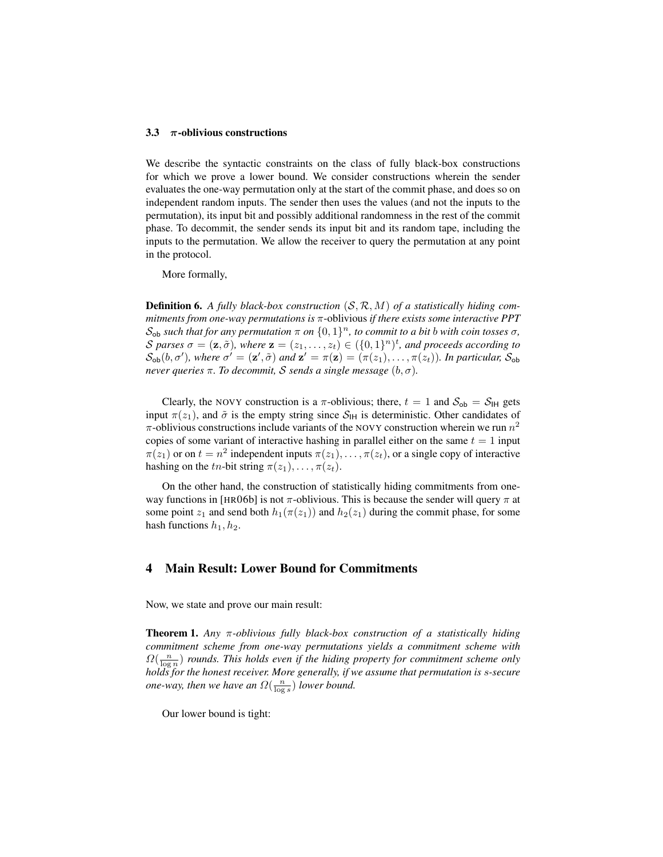#### 3.3  $\pi$ -oblivious constructions

We describe the syntactic constraints on the class of fully black-box constructions for which we prove a lower bound. We consider constructions wherein the sender evaluates the one-way permutation only at the start of the commit phase, and does so on independent random inputs. The sender then uses the values (and not the inputs to the permutation), its input bit and possibly additional randomness in the rest of the commit phase. To decommit, the sender sends its input bit and its random tape, including the inputs to the permutation. We allow the receiver to query the permutation at any point in the protocol.

More formally,

Definition 6. *A fully black-box construction* (S, R, M) *of a statistically hiding commitments from one-way permutations is* π-oblivious *if there exists some interactive PPT*  $\mathcal{S}_{\text{ob}}$  such that for any permutation  $\pi$  on  $\{0,1\}^n$ , to commit to a bit b with coin tosses  $\sigma$ , S parses  $\sigma = (\mathbf{z}, \tilde{\sigma})$ , where  $\mathbf{z} = (z_1, \ldots, z_t) \in (\{0, 1\}^n)^t$ , and proceeds according to  $S_{ob}(b, \sigma')$ , where  $\sigma' = (\mathbf{z}', \tilde{\sigma})$  and  $\mathbf{z}' = \pi(\mathbf{z}) = (\pi(z_1), \dots, \pi(z_t))$ . In particular,  $S_{ob}$ *never queries*  $π$ *. To decommit, S sends a single message*  $(b, σ)$ *.* 

Clearly, the NOVY construction is a  $\pi$ -oblivious; there,  $t = 1$  and  $S_{ob} = S_H$  gets input  $\pi(z_1)$ , and  $\tilde{\sigma}$  is the empty string since  $S_H$  is deterministic. Other candidates of  $\pi$ -oblivious constructions include variants of the NOVY construction wherein we run  $n^2$ copies of some variant of interactive hashing in parallel either on the same  $t = 1$  input  $\pi(z_1)$  or on  $t = n^2$  independent inputs  $\pi(z_1), \ldots, \pi(z_t)$ , or a single copy of interactive hashing on the tn-bit string  $\pi(z_1), \ldots, \pi(z_t)$ .

On the other hand, the construction of statistically hiding commitments from oneway functions in [HR06b] is not  $\pi$ -oblivious. This is because the sender will query  $\pi$  at some point  $z_1$  and send both  $h_1(\pi(z_1))$  and  $h_2(z_1)$  during the commit phase, for some hash functions  $h_1, h_2$ .

# 4 Main Result: Lower Bound for Commitments

Now, we state and prove our main result:

Theorem 1. *Any* π*-oblivious fully black-box construction of a statistically hiding commitment scheme from one-way permutations yields a commitment scheme with*  $\Omega(\frac{n}{\log n})$  *rounds. This holds even if the hiding property for commitment scheme only holds for the honest receiver. More generally, if we assume that permutation is* s*-secure one-way, then we have an*  $\Omega(\frac{n}{\log s})$  *lower bound.* 

Our lower bound is tight: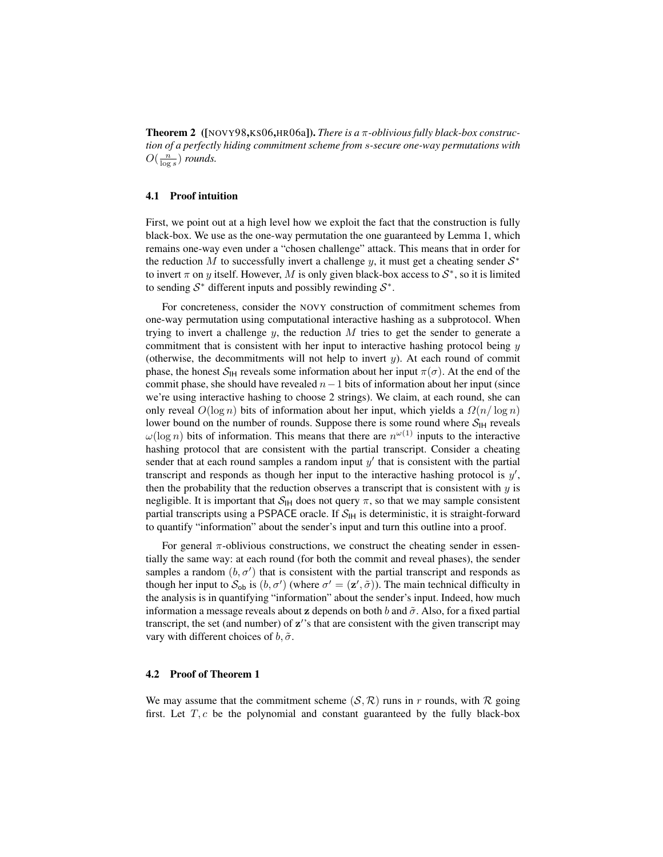Theorem 2 ([NOVY98,KS06,HR06a]). *There is a* π*-oblivious fully black-box construction of a perfectly hiding commitment scheme from* s*-secure one-way permutations with*  $O(\frac{n}{\log s})$  *rounds.* 

#### 4.1 Proof intuition

First, we point out at a high level how we exploit the fact that the construction is fully black-box. We use as the one-way permutation the one guaranteed by Lemma 1, which remains one-way even under a "chosen challenge" attack. This means that in order for the reduction M to successfully invert a challenge y, it must get a cheating sender  $S^*$ to invert  $\pi$  on y itself. However, M is only given black-box access to  $S^*$ , so it is limited to sending  $S^*$  different inputs and possibly rewinding  $S^*$ .

For concreteness, consider the NOVY construction of commitment schemes from one-way permutation using computational interactive hashing as a subprotocol. When trying to invert a challenge  $y$ , the reduction  $M$  tries to get the sender to generate a commitment that is consistent with her input to interactive hashing protocol being  $y$ (otherwise, the decommitments will not help to invert  $y$ ). At each round of commit phase, the honest  $S_H$  reveals some information about her input  $\pi(\sigma)$ . At the end of the commit phase, she should have revealed  $n-1$  bits of information about her input (since we're using interactive hashing to choose 2 strings). We claim, at each round, she can only reveal  $O(\log n)$  bits of information about her input, which yields a  $\Omega(n/\log n)$ lower bound on the number of rounds. Suppose there is some round where  $S_{\text{IH}}$  reveals  $\omega(\log n)$  bits of information. This means that there are  $n^{\omega(1)}$  inputs to the interactive hashing protocol that are consistent with the partial transcript. Consider a cheating sender that at each round samples a random input  $y'$  that is consistent with the partial transcript and responds as though her input to the interactive hashing protocol is  $y'$ , then the probability that the reduction observes a transcript that is consistent with  $y$  is negligible. It is important that  $S_H$  does not query  $\pi$ , so that we may sample consistent partial transcripts using a PSPACE oracle. If  $S<sub>IH</sub>$  is deterministic, it is straight-forward to quantify "information" about the sender's input and turn this outline into a proof.

For general  $\pi$ -oblivious constructions, we construct the cheating sender in essentially the same way: at each round (for both the commit and reveal phases), the sender samples a random  $(b, \sigma')$  that is consistent with the partial transcript and responds as though her input to  $S_{ob}$  is  $(b, \sigma')$  (where  $\sigma' = (\mathbf{z}', \tilde{\sigma})$ ). The main technical difficulty in the analysis is in quantifying "information" about the sender's input. Indeed, how much information a message reveals about z depends on both b and  $\tilde{\sigma}$ . Also, for a fixed partial transcript, the set (and number) of  $z'$ 's that are consistent with the given transcript may vary with different choices of  $b, \tilde{\sigma}$ .

#### 4.2 Proof of Theorem 1

We may assume that the commitment scheme  $(S, \mathcal{R})$  runs in r rounds, with R going first. Let  $T, c$  be the polynomial and constant guaranteed by the fully black-box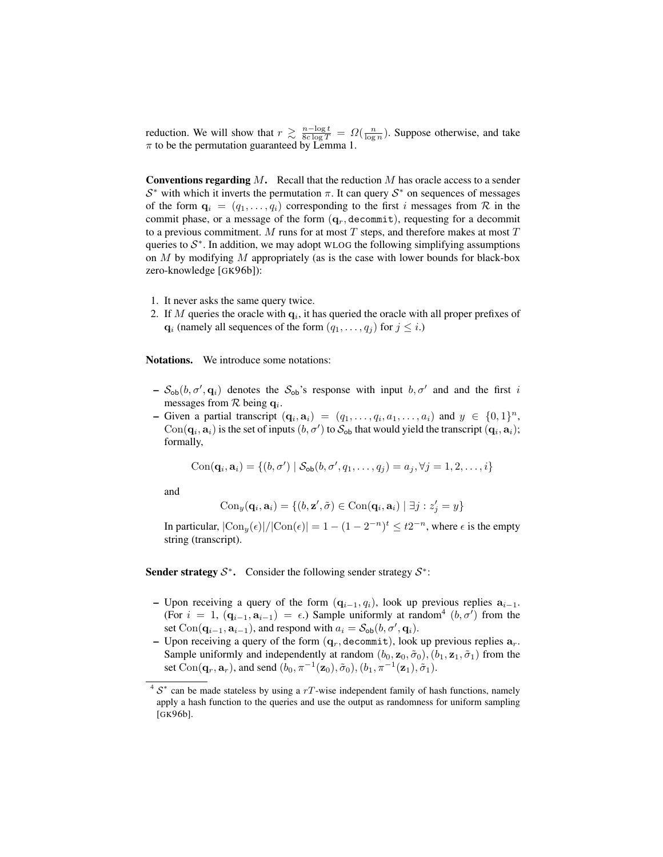reduction. We will show that  $r \geq \frac{n-\log t}{8c \log T} = \Omega(\frac{n}{\log n})$ . Suppose otherwise, and take  $\pi$  to be the permutation guaranteed by Lemma 1.

**Conventions regarding M.** Recall that the reduction M has oracle access to a sender  $S^*$  with which it inverts the permutation  $\pi$ . It can query  $S^*$  on sequences of messages of the form  $\mathbf{q}_i = (q_1, \dots, q_i)$  corresponding to the first i messages from R in the commit phase, or a message of the form  $(q_r, \text{decommit})$ , requesting for a decommit to a previous commitment.  $M$  runs for at most  $T$  steps, and therefore makes at most  $T$ queries to  $S^*$ . In addition, we may adopt WLOG the following simplifying assumptions on  $M$  by modifying  $M$  appropriately (as is the case with lower bounds for black-box zero-knowledge [GK96b]):

- 1. It never asks the same query twice.
- 2. If M queries the oracle with  $q_i$ , it has queried the oracle with all proper prefixes of  $\mathbf{q}_i$  (namely all sequences of the form  $(q_1, \ldots, q_j)$  for  $j \leq i$ .)

Notations. We introduce some notations:

- $-S_{ob}(b, \sigma', \mathbf{q}_i)$  denotes the  $S_{ob}$ 's response with input  $b, \sigma'$  and and the first i messages from  $R$  being  $q_i$ .
- Given a partial transcript  $(q_i, a_i) = (q_1, \ldots, q_i, a_1, \ldots, a_i)$  and  $y \in \{0, 1\}^n$ ,  $Con(\mathbf{q}_i, \mathbf{a}_i)$  is the set of inputs  $(b, \sigma')$  to  $\mathcal{S}_{ob}$  that would yield the transcript  $(\mathbf{q}_i, \mathbf{a}_i)$ ; formally,

 $Con(\mathbf{q}_i, \mathbf{a}_i) = \{ (b, \sigma') \mid \mathcal{S}_{ob}(b, \sigma', q_1, \dots, q_j) = a_j, \forall j = 1, 2, \dots, i \}$ 

and

$$
\mathrm{Con}_{y}(\mathbf{q}_i, \mathbf{a}_i) = \{ (b, \mathbf{z}', \tilde{\sigma}) \in \mathrm{Con}(\mathbf{q}_i, \mathbf{a}_i) \mid \exists j : z'_j = y \}
$$

In particular,  $|\text{Con}_y(\epsilon)|/|\text{Con}(\epsilon)| = 1 - (1 - 2^{-n})^t \leq t2^{-n}$ , where  $\epsilon$  is the empty string (transcript).

Sender strategy  $S^*$ . Consider the following sender strategy  $S^*$ :

- Upon receiving a query of the form  $(q_{i-1}, q_i)$ , look up previous replies  $a_{i-1}$ . (For  $i = 1$ ,  $(\mathbf{q}_{i-1}, \mathbf{a}_{i-1}) = \epsilon$ .) Sample uniformly at random<sup>4</sup>  $(b, \sigma')$  from the set Con( $\mathbf{q}_{i-1}, \mathbf{a}_{i-1}$ ), and respond with  $a_i = S_{ob}(b, \sigma', \mathbf{q}_i)$ .
- Upon receiving a query of the form  $(q_r, \text{decommit})$ , look up previous replies  $a_r$ . Sample uniformly and independently at random  $(b_0, z_0, \tilde{\sigma}_0), (b_1, z_1, \tilde{\sigma}_1)$  from the set Con $(\mathbf{q}_r, \mathbf{a}_r)$ , and send  $(b_0, \pi^{-1}(\mathbf{z}_0), \tilde{\sigma}_0), (b_1, \pi^{-1}(\mathbf{z}_1), \tilde{\sigma}_1)$ .

 $4 S^*$  can be made stateless by using a rT-wise independent family of hash functions, namely apply a hash function to the queries and use the output as randomness for uniform sampling [GK96b].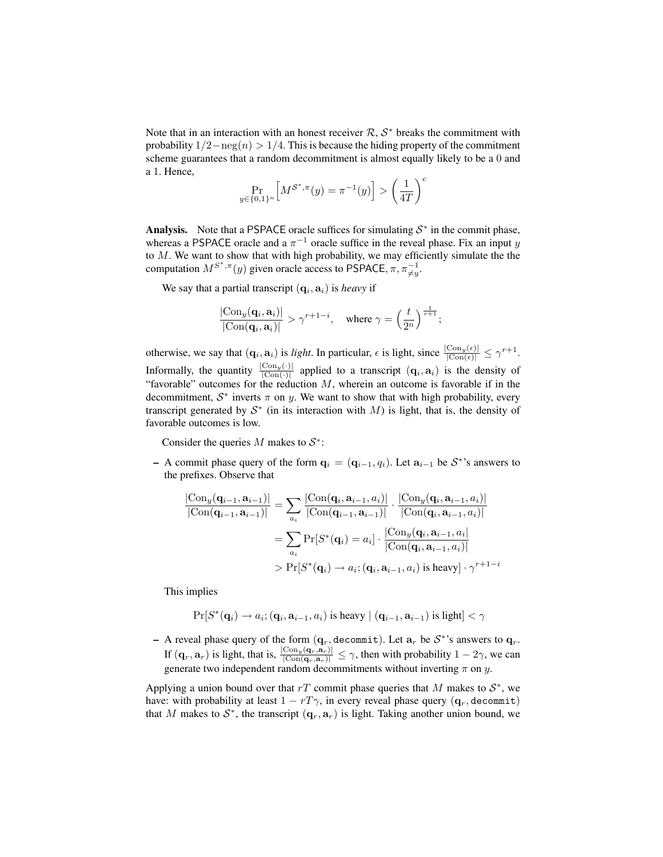Note that in an interaction with an honest receiver  $\mathcal{R}, \mathcal{S}^*$  breaks the commitment with probability  $1/2 - neg(n) > 1/4$ . This is because the hiding property of the commitment scheme guarantees that a random decommitment is almost equally likely to be a 0 and a 1. Hence,

$$
\Pr_{y \in \{0,1\}^n} \left[ M^{\mathcal{S}^*, \pi}(y) = \pi^{-1}(y) \right] > \left(\frac{1}{4T}\right)^c
$$

Analysis. Note that a PSPACE oracle suffices for simulating  $S^*$  in the commit phase, whereas a PSPACE oracle and a  $\pi^{-1}$  oracle suffice in the reveal phase. Fix an input y to  $M$ . We want to show that with high probability, we may efficiently simulate the the computation  $M^{S^*,\pi}(y)$  given oracle access to PSPACE,  $\pi, \pi \neq y$ .

We say that a partial transcript  $(q_i, a_i)$  is *heavy* if

$$
\frac{|\mathrm{Con}_y(\mathbf{q}_i, \mathbf{a}_i)|}{|\mathrm{Con}(\mathbf{q}_i, \mathbf{a}_i)|} > \gamma^{r+1-i}, \quad \text{where } \gamma = \left(\frac{t}{2^n}\right)^{\frac{1}{r+1}};
$$

otherwise, we say that  $(\mathbf{q}_i, \mathbf{a}_i)$  is *light*. In particular,  $\epsilon$  is light, since  $\frac{|\text{Con}_y(\epsilon)|}{|\text{Con}(\epsilon)|} \leq \gamma^{r+1}$ . Informally, the quantity  $\frac{|Con_y(\cdot)|}{|Con(\cdot)|}$  applied to a transcript  $(q_i, a_i)$  is the density of "favorable" outcomes for the reduction  $M$ , wherein an outcome is favorable if in the decommitment,  $S^*$  inverts  $\pi$  on y. We want to show that with high probability, every transcript generated by  $S^*$  (in its interaction with M) is light, that is, the density of favorable outcomes is low.

Consider the queries M makes to  $S^*$ :

– A commit phase query of the form  $\mathbf{q}_i = (\mathbf{q}_{i-1}, q_i)$ . Let  $\mathbf{a}_{i-1}$  be  $\mathcal{S}^*$ 's answers to the prefixes. Observe that

$$
\frac{|\text{Con}_{y}(\mathbf{q}_{i-1}, \mathbf{a}_{i-1})|}{|\text{Con}(\mathbf{q}_{i-1}, \mathbf{a}_{i-1})|} = \sum_{a_i} \frac{|\text{Con}(\mathbf{q}_i, \mathbf{a}_{i-1}, a_i)|}{|\text{Con}(\mathbf{q}_{i-1}, \mathbf{a}_{i-1})|} \cdot \frac{|\text{Con}_{y}(\mathbf{q}_i, \mathbf{a}_{i-1}, a_i)|}{|\text{Con}(\mathbf{q}_i, \mathbf{a}_{i-1}, a_i)|}
$$

$$
= \sum_{a_i} \Pr[S^*(\mathbf{q}_i) = a_i] \cdot \frac{|\text{Con}_{y}(\mathbf{q}_i, \mathbf{a}_{i-1}, a_i)|}{|\text{Con}(\mathbf{q}_i, \mathbf{a}_{i-1}, a_i)|}
$$

$$
> \Pr[S^*(\mathbf{q}_i) \to a_i; (\mathbf{q}_i, \mathbf{a}_{i-1}, a_i) \text{ is heavy}] \cdot \gamma^{r+1-i}
$$

This implies

$$
\Pr[S^*(\mathbf{q}_i) \to a_i; (\mathbf{q}_i, \mathbf{a}_{i-1}, a_i) \text{ is heavy } | (\mathbf{q}_{i-1}, \mathbf{a}_{i-1}) \text{ is light}] < \gamma
$$

- A reveal phase query of the form  $(\mathbf{q}_r, \text{decommit})$ . Let  $\mathbf{a}_r$  be  $\mathcal{S}^*$ 's answers to  $\mathbf{q}_r$ . If  $(q_r, a_r)$  is light, that is,  $\frac{|Con_y(q_r, a_r)|}{|Con(q_r, a_r)|} \le \gamma$ , then with probability  $1 - 2\gamma$ , we can generate two independent random decommitments without inverting  $\pi$  on y.

Applying a union bound over that rT commit phase queries that M makes to  $S^*$ , we have: with probability at least  $1 - rT\gamma$ , in every reveal phase query ( $q_r$ , decommit) that M makes to  $S^*$ , the transcript  $(q_r, a_r)$  is light. Taking another union bound, we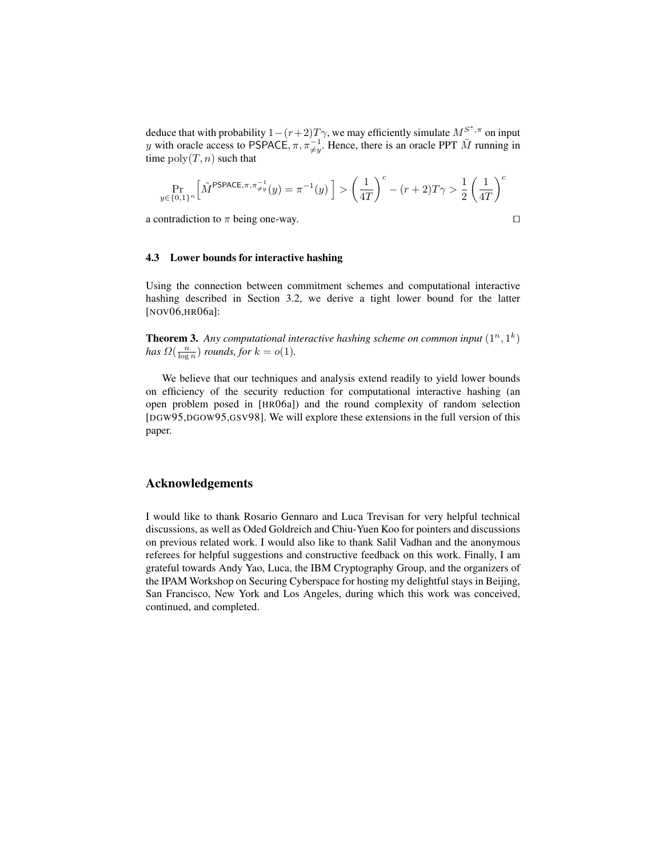deduce that with probability  $1 - (r+2)T\gamma$ , we may efficiently simulate  $M^{S^*,\pi}$  on input y with oracle access to PSPACE,  $\pi$ ,  $\pi_{\neq y}^{-1}$ . Hence, there is an oracle PPT  $\tilde{M}$  running in time  $poly(T, n)$  such that

$$
\Pr_{y\in\{0,1\}^n}\left[\tilde{M}^{\mathsf{PSPACE},\pi,\pi_{\neq y}^{-1}}(y)=\pi^{-1}(y)\,\right] > \left(\frac{1}{4T}\right)^c - (r+2)T\gamma > \frac{1}{2}\left(\frac{1}{4T}\right)^c
$$

a contradiction to  $\pi$  being one-way.

$$
\Box
$$

## 4.3 Lower bounds for interactive hashing

Using the connection between commitment schemes and computational interactive hashing described in Section 3.2, we derive a tight lower bound for the latter [NOV06,HR06a]:

**Theorem 3.** Any computational interactive hashing scheme on common input  $(1^n, 1^k)$ *has*  $\Omega(\frac{n}{\log n})$  *rounds, for*  $k = o(1)$ *.* 

We believe that our techniques and analysis extend readily to yield lower bounds on efficiency of the security reduction for computational interactive hashing (an open problem posed in [HR06a]) and the round complexity of random selection [DGW95,DGOW95,GSV98]. We will explore these extensions in the full version of this paper.

## Acknowledgements

I would like to thank Rosario Gennaro and Luca Trevisan for very helpful technical discussions, as well as Oded Goldreich and Chiu-Yuen Koo for pointers and discussions on previous related work. I would also like to thank Salil Vadhan and the anonymous referees for helpful suggestions and constructive feedback on this work. Finally, I am grateful towards Andy Yao, Luca, the IBM Cryptography Group, and the organizers of the IPAM Workshop on Securing Cyberspace for hosting my delightful stays in Beijing, San Francisco, New York and Los Angeles, during which this work was conceived, continued, and completed.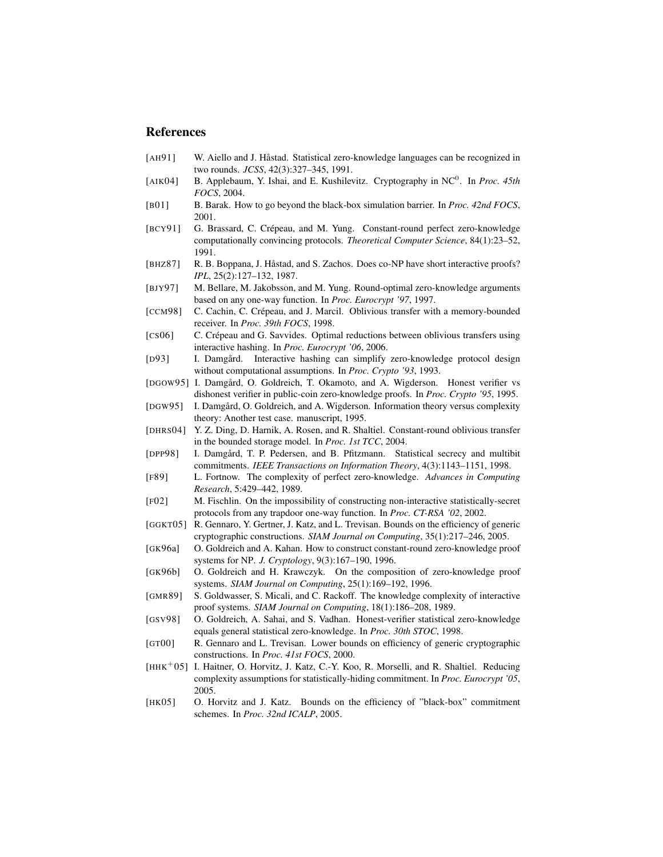# References

- [AH91] W. Aiello and J. Håstad. Statistical zero-knowledge languages can be recognized in two rounds. *JCSS*, 42(3):327–345, 1991.
- [AIK04] B. Applebaum, Y. Ishai, and E. Kushilevitz. Cryptography in NC<sup>0</sup>. In *Proc. 45th FOCS*, 2004.
- [B01] B. Barak. How to go beyond the black-box simulation barrier. In *Proc. 42nd FOCS*, 2001.
- [BCY91] G. Brassard, C. Crépeau, and M. Yung. Constant-round perfect zero-knowledge computationally convincing protocols. *Theoretical Computer Science*, 84(1):23–52, 1991.
- [BHZ87] R. B. Boppana, J. Håstad, and S. Zachos. Does co-NP have short interactive proofs? *IPL*, 25(2):127–132, 1987.
- [BJY97] M. Bellare, M. Jakobsson, and M. Yung. Round-optimal zero-knowledge arguments based on any one-way function. In *Proc. Eurocrypt '97*, 1997.
- [CCM98] C. Cachin, C. Crépeau, and J. Marcil. Oblivious transfer with a memory-bounded receiver. In *Proc. 39th FOCS*, 1998.
- [CS06] C. Crépeau and G. Savvides. Optimal reductions between oblivious transfers using interactive hashing. In *Proc. Eurocrypt '06*, 2006.
- [D93] I. Damgård. Interactive hashing can simplify zero-knowledge protocol design without computational assumptions. In *Proc. Crypto '93*, 1993.
- [DGOW95] I. Damgård, O. Goldreich, T. Okamoto, and A. Wigderson. Honest verifier vs dishonest verifier in public-coin zero-knowledge proofs. In *Proc. Crypto '95*, 1995.
- [DGW95] I. Damgård, O. Goldreich, and A. Wigderson. Information theory versus complexity theory: Another test case. manuscript, 1995.
- [DHRS04] Y. Z. Ding, D. Harnik, A. Rosen, and R. Shaltiel. Constant-round oblivious transfer in the bounded storage model. In *Proc. 1st TCC*, 2004.
- [DPP98] I. Damgård, T. P. Pedersen, and B. Pfitzmann. Statistical secrecy and multibit commitments. *IEEE Transactions on Information Theory*, 4(3):1143–1151, 1998.
- [F89] L. Fortnow. The complexity of perfect zero-knowledge. *Advances in Computing Research*, 5:429–442, 1989.
- [F02] M. Fischlin. On the impossibility of constructing non-interactive statistically-secret protocols from any trapdoor one-way function. In *Proc. CT-RSA '02*, 2002.
- [GGKT05] R. Gennaro, Y. Gertner, J. Katz, and L. Trevisan. Bounds on the efficiency of generic cryptographic constructions. *SIAM Journal on Computing*, 35(1):217–246, 2005.
- [GK96a] O. Goldreich and A. Kahan. How to construct constant-round zero-knowledge proof systems for NP. *J. Cryptology*, 9(3):167–190, 1996.
- [GK96b] O. Goldreich and H. Krawczyk. On the composition of zero-knowledge proof systems. *SIAM Journal on Computing*, 25(1):169–192, 1996.
- [GMR89] S. Goldwasser, S. Micali, and C. Rackoff. The knowledge complexity of interactive proof systems. *SIAM Journal on Computing*, 18(1):186–208, 1989.
- [GSV98] O. Goldreich, A. Sahai, and S. Vadhan. Honest-verifier statistical zero-knowledge equals general statistical zero-knowledge. In *Proc. 30th STOC*, 1998.
- [GT00] R. Gennaro and L. Trevisan. Lower bounds on efficiency of generic cryptographic constructions. In *Proc. 41st FOCS*, 2000.
- [HHK<sup>+</sup>05] I. Haitner, O. Horvitz, J. Katz, C.-Y. Koo, R. Morselli, and R. Shaltiel. Reducing complexity assumptions for statistically-hiding commitment. In *Proc. Eurocrypt '05*, 2005.
- [HK05] O. Horvitz and J. Katz. Bounds on the efficiency of "black-box" commitment schemes. In *Proc. 32nd ICALP*, 2005.